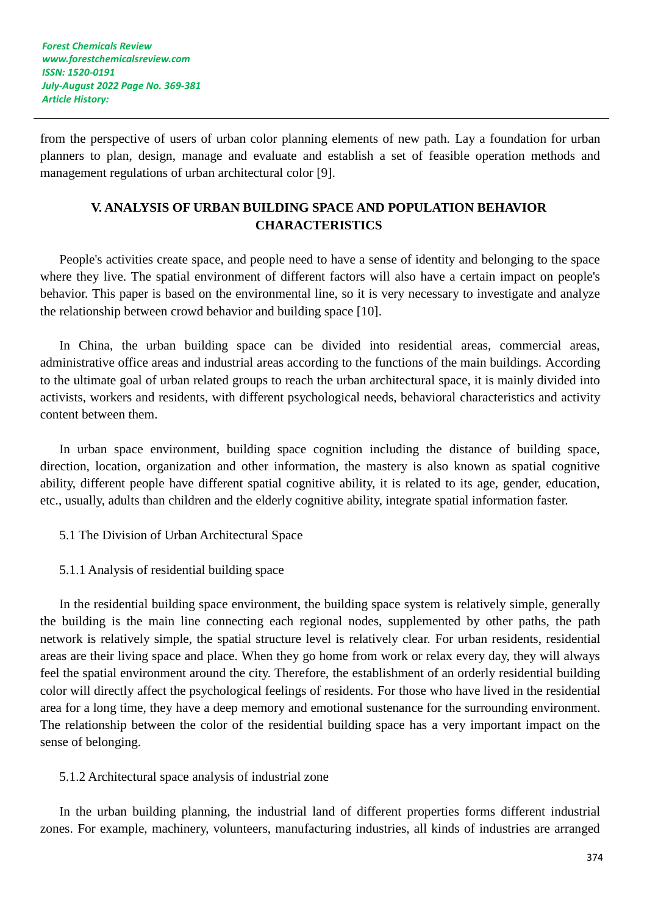from the perspective of users of urban color planning elements of new path. Lay a foundation for urban planners to plan, design, manage and evaluate and establish a set of feasible operation methods and management regulations of urban architectural color [9].

# **V. ANALYSIS OF URBAN BUILDING SPACE AND POPULATION BEHAVIOR CHARACTERISTICS**

People's activities create space, and people need to have a sense of identity and belonging to the space where they live. The spatial environment of different factors will also have a certain impact on people's behavior. This paper is based on the environmental line, so it is very necessary to investigate and analyze the relationship between crowd behavior and building space [10].

In China, the urban building space can be divided into residential areas, commercial areas, administrative office areas and industrial areas according to the functions of the main buildings. According to the ultimate goal of urban related groups to reach the urban architectural space, it is mainly divided into activists, workers and residents, with different psychological needs, behavioral characteristics and activity content between them.

In urban space environment, building space cognition including the distance of building space, direction, location, organization and other information, the mastery is also known as spatial cognitive ability, different people have different spatial cognitive ability, it is related to its age, gender, education, etc., usually, adults than children and the elderly cognitive ability, integrate spatial information faster.

- 5.1 The Division of Urban Architectural Space
- 5.1.1 Analysis of residential building space

In the residential building space environment, the building space system is relatively simple, generally the building is the main line connecting each regional nodes, supplemented by other paths, the path network is relatively simple, the spatial structure level is relatively clear. For urban residents, residential areas are their living space and place. When they go home from work or relax every day, they will always feel the spatial environment around the city. Therefore, the establishment of an orderly residential building color will directly affect the psychological feelings of residents. For those who have lived in the residential area for a long time, they have a deep memory and emotional sustenance for the surrounding environment. The relationship between the color of the residential building space has a very important impact on the sense of belonging.

### 5.1.2 Architectural space analysis of industrial zone

In the urban building planning, the industrial land of different properties forms different industrial zones. For example, machinery, volunteers, manufacturing industries, all kinds of industries are arranged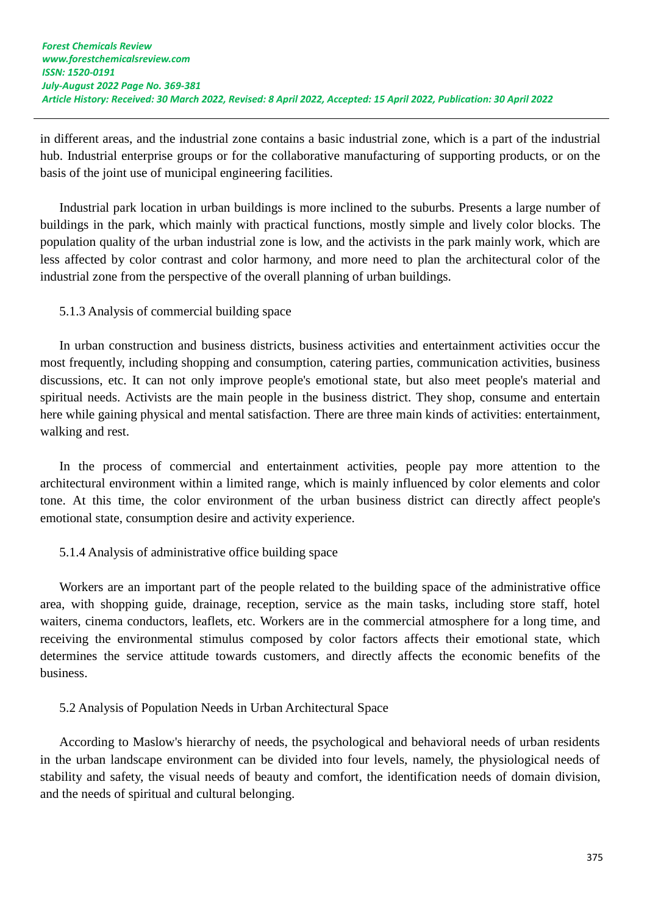in different areas, and the industrial zone contains a basic industrial zone, which is a part of the industrial hub. Industrial enterprise groups or for the collaborative manufacturing of supporting products, or on the basis of the joint use of municipal engineering facilities.

Industrial park location in urban buildings is more inclined to the suburbs. Presents a large number of buildings in the park, which mainly with practical functions, mostly simple and lively color blocks. The population quality of the urban industrial zone is low, and the activists in the park mainly work, which are less affected by color contrast and color harmony, and more need to plan the architectural color of the industrial zone from the perspective of the overall planning of urban buildings.

### 5.1.3 Analysis of commercial building space

In urban construction and business districts, business activities and entertainment activities occur the most frequently, including shopping and consumption, catering parties, communication activities, business discussions, etc. It can not only improve people's emotional state, but also meet people's material and spiritual needs. Activists are the main people in the business district. They shop, consume and entertain here while gaining physical and mental satisfaction. There are three main kinds of activities: entertainment, walking and rest.

In the process of commercial and entertainment activities, people pay more attention to the architectural environment within a limited range, which is mainly influenced by color elements and color tone. At this time, the color environment of the urban business district can directly affect people's emotional state, consumption desire and activity experience.

# 5.1.4 Analysis of administrative office building space

Workers are an important part of the people related to the building space of the administrative office area, with shopping guide, drainage, reception, service as the main tasks, including store staff, hotel waiters, cinema conductors, leaflets, etc. Workers are in the commercial atmosphere for a long time, and receiving the environmental stimulus composed by color factors affects their emotional state, which determines the service attitude towards customers, and directly affects the economic benefits of the business.

# 5.2 Analysis of Population Needs in Urban Architectural Space

According to Maslow's hierarchy of needs, the psychological and behavioral needs of urban residents in the urban landscape environment can be divided into four levels, namely, the physiological needs of stability and safety, the visual needs of beauty and comfort, the identification needs of domain division, and the needs of spiritual and cultural belonging.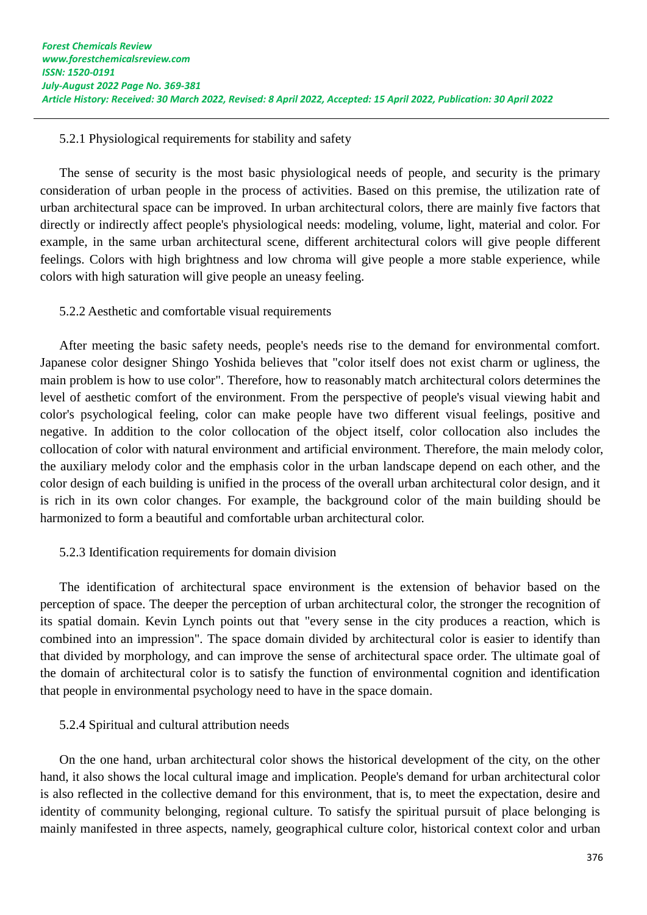#### 5.2.1 Physiological requirements for stability and safety

The sense of security is the most basic physiological needs of people, and security is the primary consideration of urban people in the process of activities. Based on this premise, the utilization rate of urban architectural space can be improved. In urban architectural colors, there are mainly five factors that directly or indirectly affect people's physiological needs: modeling, volume, light, material and color. For example, in the same urban architectural scene, different architectural colors will give people different feelings. Colors with high brightness and low chroma will give people a more stable experience, while colors with high saturation will give people an uneasy feeling.

### 5.2.2 Aesthetic and comfortable visual requirements

After meeting the basic safety needs, people's needs rise to the demand for environmental comfort. Japanese color designer Shingo Yoshida believes that "color itself does not exist charm or ugliness, the main problem is how to use color". Therefore, how to reasonably match architectural colors determines the level of aesthetic comfort of the environment. From the perspective of people's visual viewing habit and color's psychological feeling, color can make people have two different visual feelings, positive and negative. In addition to the color collocation of the object itself, color collocation also includes the collocation of color with natural environment and artificial environment. Therefore, the main melody color, the auxiliary melody color and the emphasis color in the urban landscape depend on each other, and the color design of each building is unified in the process of the overall urban architectural color design, and it is rich in its own color changes. For example, the background color of the main building should be harmonized to form a beautiful and comfortable urban architectural color.

### 5.2.3 Identification requirements for domain division

The identification of architectural space environment is the extension of behavior based on the perception of space. The deeper the perception of urban architectural color, the stronger the recognition of its spatial domain. Kevin Lynch points out that "every sense in the city produces a reaction, which is combined into an impression". The space domain divided by architectural color is easier to identify than that divided by morphology, and can improve the sense of architectural space order. The ultimate goal of the domain of architectural color is to satisfy the function of environmental cognition and identification that people in environmental psychology need to have in the space domain.

#### 5.2.4 Spiritual and cultural attribution needs

On the one hand, urban architectural color shows the historical development of the city, on the other hand, it also shows the local cultural image and implication. People's demand for urban architectural color is also reflected in the collective demand for this environment, that is, to meet the expectation, desire and identity of community belonging, regional culture. To satisfy the spiritual pursuit of place belonging is mainly manifested in three aspects, namely, geographical culture color, historical context color and urban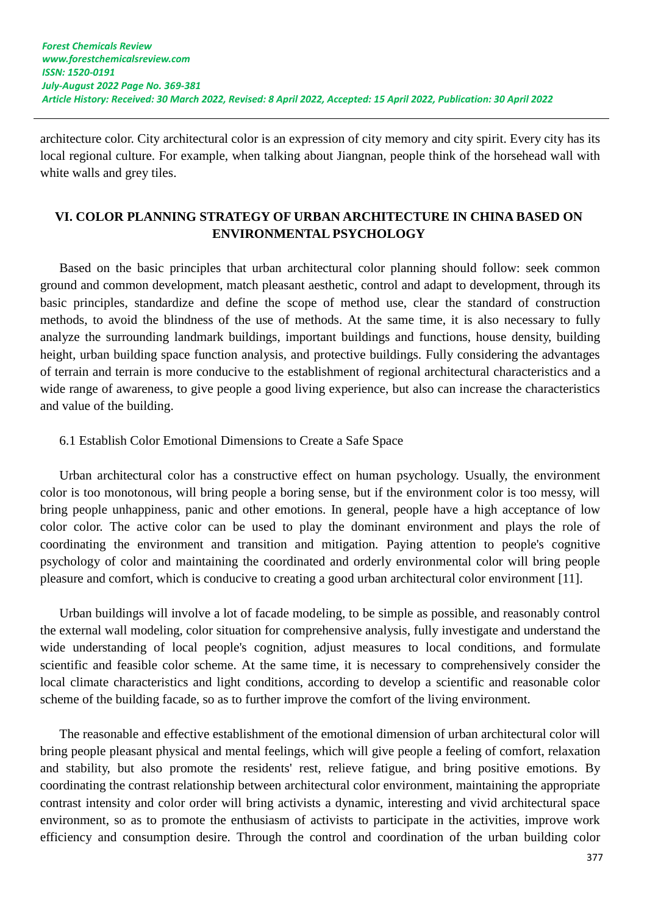architecture color. City architectural color is an expression of city memory and city spirit. Every city has its local regional culture. For example, when talking about Jiangnan, people think of the horsehead wall with white walls and grey tiles.

# **VI. COLOR PLANNING STRATEGY OF URBAN ARCHITECTURE IN CHINA BASED ON ENVIRONMENTAL PSYCHOLOGY**

Based on the basic principles that urban architectural color planning should follow: seek common ground and common development, match pleasant aesthetic, control and adapt to development, through its basic principles, standardize and define the scope of method use, clear the standard of construction methods, to avoid the blindness of the use of methods. At the same time, it is also necessary to fully analyze the surrounding landmark buildings, important buildings and functions, house density, building height, urban building space function analysis, and protective buildings. Fully considering the advantages of terrain and terrain is more conducive to the establishment of regional architectural characteristics and a wide range of awareness, to give people a good living experience, but also can increase the characteristics and value of the building.

### 6.1 Establish Color Emotional Dimensions to Create a Safe Space

Urban architectural color has a constructive effect on human psychology. Usually, the environment color is too monotonous, will bring people a boring sense, but if the environment color is too messy, will bring people unhappiness, panic and other emotions. In general, people have a high acceptance of low color color. The active color can be used to play the dominant environment and plays the role of coordinating the environment and transition and mitigation. Paying attention to people's cognitive psychology of color and maintaining the coordinated and orderly environmental color will bring people pleasure and comfort, which is conducive to creating a good urban architectural color environment [11].

Urban buildings will involve a lot of facade modeling, to be simple as possible, and reasonably control the external wall modeling, color situation for comprehensive analysis, fully investigate and understand the wide understanding of local people's cognition, adjust measures to local conditions, and formulate scientific and feasible color scheme. At the same time, it is necessary to comprehensively consider the local climate characteristics and light conditions, according to develop a scientific and reasonable color scheme of the building facade, so as to further improve the comfort of the living environment.

The reasonable and effective establishment of the emotional dimension of urban architectural color will bring people pleasant physical and mental feelings, which will give people a feeling of comfort, relaxation and stability, but also promote the residents' rest, relieve fatigue, and bring positive emotions. By coordinating the contrast relationship between architectural color environment, maintaining the appropriate contrast intensity and color order will bring activists a dynamic, interesting and vivid architectural space environment, so as to promote the enthusiasm of activists to participate in the activities, improve work efficiency and consumption desire. Through the control and coordination of the urban building color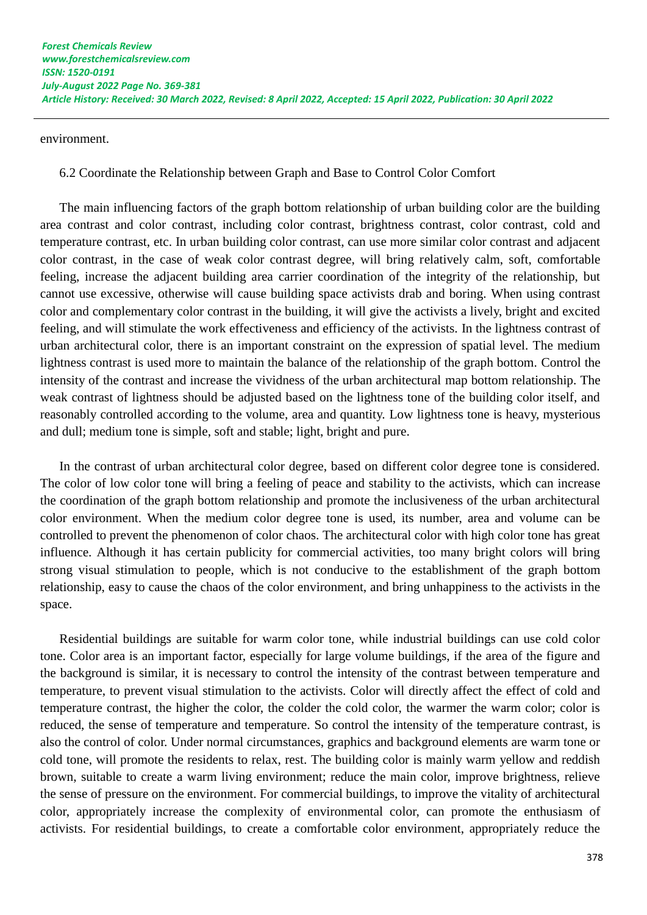#### environment.

### 6.2 Coordinate the Relationship between Graph and Base to Control Color Comfort

The main influencing factors of the graph bottom relationship of urban building color are the building area contrast and color contrast, including color contrast, brightness contrast, color contrast, cold and temperature contrast, etc. In urban building color contrast, can use more similar color contrast and adjacent color contrast, in the case of weak color contrast degree, will bring relatively calm, soft, comfortable feeling, increase the adjacent building area carrier coordination of the integrity of the relationship, but cannot use excessive, otherwise will cause building space activists drab and boring. When using contrast color and complementary color contrast in the building, it will give the activists a lively, bright and excited feeling, and will stimulate the work effectiveness and efficiency of the activists. In the lightness contrast of urban architectural color, there is an important constraint on the expression of spatial level. The medium lightness contrast is used more to maintain the balance of the relationship of the graph bottom. Control the intensity of the contrast and increase the vividness of the urban architectural map bottom relationship. The weak contrast of lightness should be adjusted based on the lightness tone of the building color itself, and reasonably controlled according to the volume, area and quantity. Low lightness tone is heavy, mysterious and dull; medium tone is simple, soft and stable; light, bright and pure.

In the contrast of urban architectural color degree, based on different color degree tone is considered. The color of low color tone will bring a feeling of peace and stability to the activists, which can increase the coordination of the graph bottom relationship and promote the inclusiveness of the urban architectural color environment. When the medium color degree tone is used, its number, area and volume can be controlled to prevent the phenomenon of color chaos. The architectural color with high color tone has great influence. Although it has certain publicity for commercial activities, too many bright colors will bring strong visual stimulation to people, which is not conducive to the establishment of the graph bottom relationship, easy to cause the chaos of the color environment, and bring unhappiness to the activists in the space.

Residential buildings are suitable for warm color tone, while industrial buildings can use cold color tone. Color area is an important factor, especially for large volume buildings, if the area of the figure and the background is similar, it is necessary to control the intensity of the contrast between temperature and temperature, to prevent visual stimulation to the activists. Color will directly affect the effect of cold and temperature contrast, the higher the color, the colder the cold color, the warmer the warm color; color is reduced, the sense of temperature and temperature. So control the intensity of the temperature contrast, is also the control of color. Under normal circumstances, graphics and background elements are warm tone or cold tone, will promote the residents to relax, rest. The building color is mainly warm yellow and reddish brown, suitable to create a warm living environment; reduce the main color, improve brightness, relieve the sense of pressure on the environment. For commercial buildings, to improve the vitality of architectural color, appropriately increase the complexity of environmental color, can promote the enthusiasm of activists. For residential buildings, to create a comfortable color environment, appropriately reduce the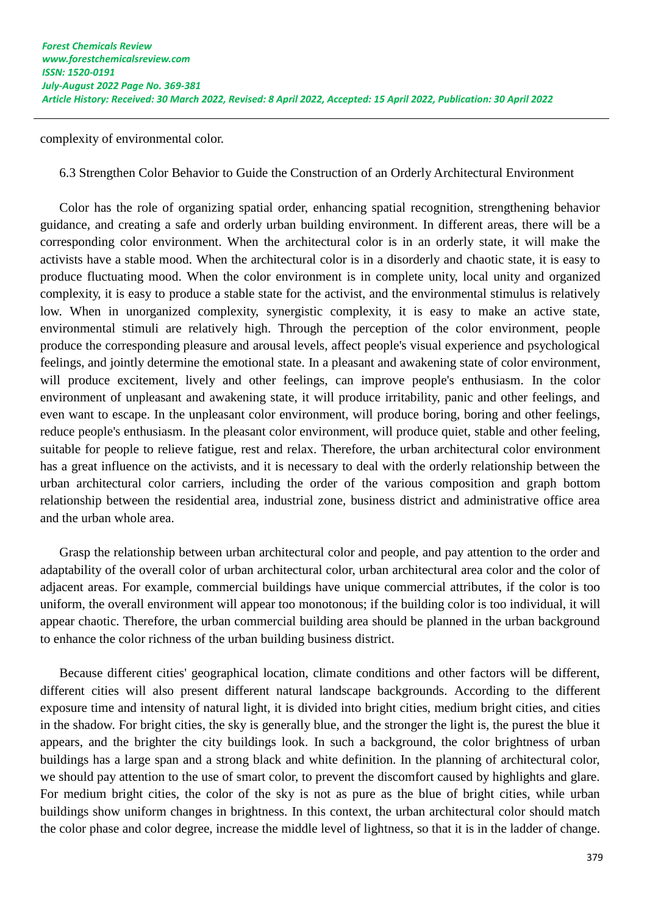complexity of environmental color.

6.3 Strengthen Color Behavior to Guide the Construction of an Orderly Architectural Environment

Color has the role of organizing spatial order, enhancing spatial recognition, strengthening behavior guidance, and creating a safe and orderly urban building environment. In different areas, there will be a corresponding color environment. When the architectural color is in an orderly state, it will make the activists have a stable mood. When the architectural color is in a disorderly and chaotic state, it is easy to produce fluctuating mood. When the color environment is in complete unity, local unity and organized complexity, it is easy to produce a stable state for the activist, and the environmental stimulus is relatively low. When in unorganized complexity, synergistic complexity, it is easy to make an active state, environmental stimuli are relatively high. Through the perception of the color environment, people produce the corresponding pleasure and arousal levels, affect people's visual experience and psychological feelings, and jointly determine the emotional state. In a pleasant and awakening state of color environment, will produce excitement, lively and other feelings, can improve people's enthusiasm. In the color environment of unpleasant and awakening state, it will produce irritability, panic and other feelings, and even want to escape. In the unpleasant color environment, will produce boring, boring and other feelings, reduce people's enthusiasm. In the pleasant color environment, will produce quiet, stable and other feeling, suitable for people to relieve fatigue, rest and relax. Therefore, the urban architectural color environment has a great influence on the activists, and it is necessary to deal with the orderly relationship between the urban architectural color carriers, including the order of the various composition and graph bottom relationship between the residential area, industrial zone, business district and administrative office area and the urban whole area.

Grasp the relationship between urban architectural color and people, and pay attention to the order and adaptability of the overall color of urban architectural color, urban architectural area color and the color of adjacent areas. For example, commercial buildings have unique commercial attributes, if the color is too uniform, the overall environment will appear too monotonous; if the building color is too individual, it will appear chaotic. Therefore, the urban commercial building area should be planned in the urban background to enhance the color richness of the urban building business district.

Because different cities' geographical location, climate conditions and other factors will be different, different cities will also present different natural landscape backgrounds. According to the different exposure time and intensity of natural light, it is divided into bright cities, medium bright cities, and cities in the shadow. For bright cities, the sky is generally blue, and the stronger the light is, the purest the blue it appears, and the brighter the city buildings look. In such a background, the color brightness of urban buildings has a large span and a strong black and white definition. In the planning of architectural color, we should pay attention to the use of smart color, to prevent the discomfort caused by highlights and glare. For medium bright cities, the color of the sky is not as pure as the blue of bright cities, while urban buildings show uniform changes in brightness. In this context, the urban architectural color should match the color phase and color degree, increase the middle level of lightness, so that it is in the ladder of change.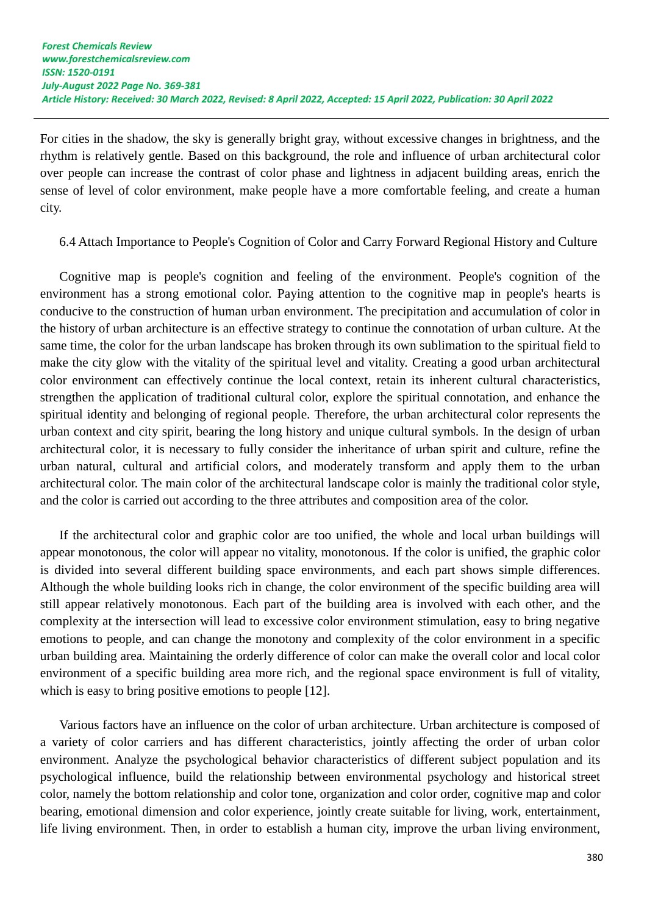For cities in the shadow, the sky is generally bright gray, without excessive changes in brightness, and the rhythm is relatively gentle. Based on this background, the role and influence of urban architectural color over people can increase the contrast of color phase and lightness in adjacent building areas, enrich the sense of level of color environment, make people have a more comfortable feeling, and create a human city.

6.4 Attach Importance to People's Cognition of Color and Carry Forward Regional History and Culture

Cognitive map is people's cognition and feeling of the environment. People's cognition of the environment has a strong emotional color. Paying attention to the cognitive map in people's hearts is conducive to the construction of human urban environment. The precipitation and accumulation of color in the history of urban architecture is an effective strategy to continue the connotation of urban culture. At the same time, the color for the urban landscape has broken through its own sublimation to the spiritual field to make the city glow with the vitality of the spiritual level and vitality. Creating a good urban architectural color environment can effectively continue the local context, retain its inherent cultural characteristics, strengthen the application of traditional cultural color, explore the spiritual connotation, and enhance the spiritual identity and belonging of regional people. Therefore, the urban architectural color represents the urban context and city spirit, bearing the long history and unique cultural symbols. In the design of urban architectural color, it is necessary to fully consider the inheritance of urban spirit and culture, refine the urban natural, cultural and artificial colors, and moderately transform and apply them to the urban architectural color. The main color of the architectural landscape color is mainly the traditional color style, and the color is carried out according to the three attributes and composition area of the color.

If the architectural color and graphic color are too unified, the whole and local urban buildings will appear monotonous, the color will appear no vitality, monotonous. If the color is unified, the graphic color is divided into several different building space environments, and each part shows simple differences. Although the whole building looks rich in change, the color environment of the specific building area will still appear relatively monotonous. Each part of the building area is involved with each other, and the complexity at the intersection will lead to excessive color environment stimulation, easy to bring negative emotions to people, and can change the monotony and complexity of the color environment in a specific urban building area. Maintaining the orderly difference of color can make the overall color and local color environment of a specific building area more rich, and the regional space environment is full of vitality, which is easy to bring positive emotions to people [12].

Various factors have an influence on the color of urban architecture. Urban architecture is composed of a variety of color carriers and has different characteristics, jointly affecting the order of urban color environment. Analyze the psychological behavior characteristics of different subject population and its psychological influence, build the relationship between environmental psychology and historical street color, namely the bottom relationship and color tone, organization and color order, cognitive map and color bearing, emotional dimension and color experience, jointly create suitable for living, work, entertainment, life living environment. Then, in order to establish a human city, improve the urban living environment,